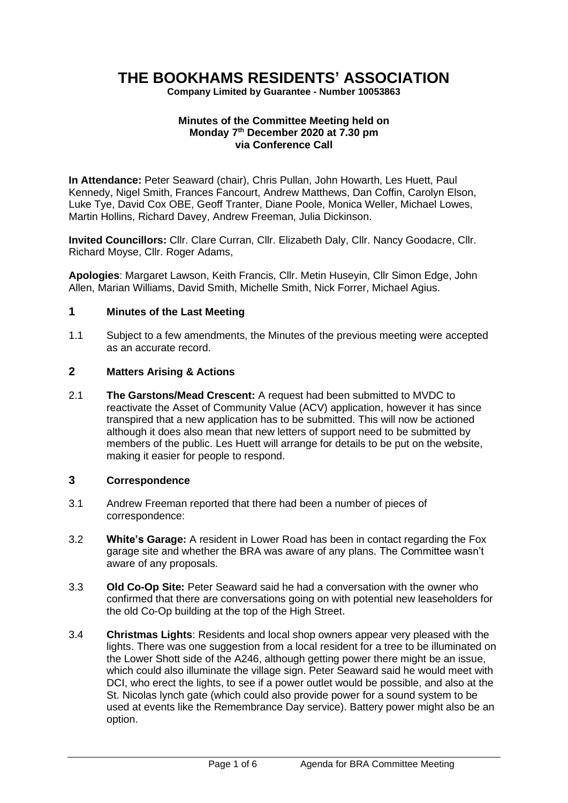# **THE BOOKHAMS RESIDENTS' ASSOCIATION**

**Company Limited by Guarantee - Number 10053863**

#### **Minutes of the Committee Meeting held on Monday 7 th December 2020 at 7.30 pm via Conference Call**

**In Attendance:** Peter Seaward (chair), Chris Pullan, John Howarth, Les Huett, Paul Kennedy, Nigel Smith, Frances Fancourt, Andrew Matthews, Dan Coffin, Carolyn Elson, Luke Tye, David Cox OBE, Geoff Tranter, Diane Poole, Monica Weller, Michael Lowes, Martin Hollins, Richard Davey, Andrew Freeman, Julia Dickinson.

**Invited Councillors:** Cllr. Clare Curran, Cllr. Elizabeth Daly, Cllr. Nancy Goodacre, Cllr. Richard Moyse, Cllr. Roger Adams,

**Apologies**: Margaret Lawson, Keith Francis, Cllr. Metin Huseyin, Cllr Simon Edge, John Allen, Marian Williams, David Smith, Michelle Smith, Nick Forrer, Michael Agius.

#### **1 Minutes of the Last Meeting**

1.1 Subject to a few amendments, the Minutes of the previous meeting were accepted as an accurate record.

## **2 Matters Arising & Actions**

2.1 **The Garstons/Mead Crescent:** A request had been submitted to MVDC to reactivate the Asset of Community Value (ACV) application, however it has since transpired that a new application has to be submitted. This will now be actioned although it does also mean that new letters of support need to be submitted by members of the public. Les Huett will arrange for details to be put on the website, making it easier for people to respond.

#### **3 Correspondence**

- 3.1 Andrew Freeman reported that there had been a number of pieces of correspondence:
- 3.2 **White's Garage:** A resident in Lower Road has been in contact regarding the Fox garage site and whether the BRA was aware of any plans. The Committee wasn't aware of any proposals.
- 3.3 **Old Co-Op Site:** Peter Seaward said he had a conversation with the owner who confirmed that there are conversations going on with potential new leaseholders for the old Co-Op building at the top of the High Street.
- 3.4 **Christmas Lights**: Residents and local shop owners appear very pleased with the lights. There was one suggestion from a local resident for a tree to be illuminated on the Lower Shott side of the A246, although getting power there might be an issue, which could also illuminate the village sign. Peter Seaward said he would meet with DCI, who erect the lights, to see if a power outlet would be possible, and also at the St. Nicolas lynch gate (which could also provide power for a sound system to be used at events like the Remembrance Day service). Battery power might also be an option.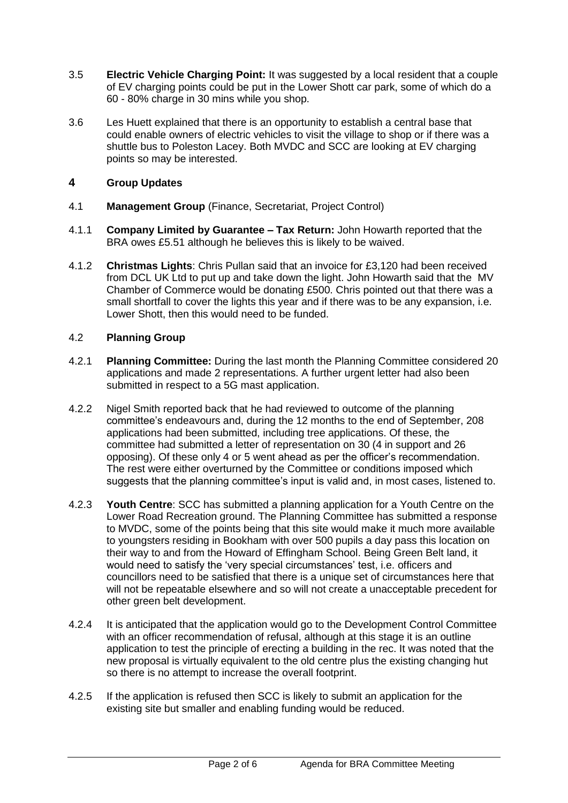- 3.5 **Electric Vehicle Charging Point:** It was suggested by a local resident that a couple of EV charging points could be put in the Lower Shott car park, some of which do a 60 - 80% charge in 30 mins while you shop.
- 3.6 Les Huett explained that there is an opportunity to establish a central base that could enable owners of electric vehicles to visit the village to shop or if there was a shuttle bus to Poleston Lacey. Both MVDC and SCC are looking at EV charging points so may be interested.

## **4 Group Updates**

- 4.1 **Management Group** (Finance, Secretariat, Project Control)
- 4.1.1 **Company Limited by Guarantee – Tax Return:** John Howarth reported that the BRA owes £5.51 although he believes this is likely to be waived.
- 4.1.2 **Christmas Lights**: Chris Pullan said that an invoice for £3,120 had been received from DCL UK Ltd to put up and take down the light. John Howarth said that the MV Chamber of Commerce would be donating £500. Chris pointed out that there was a small shortfall to cover the lights this year and if there was to be any expansion, i.e. Lower Shott, then this would need to be funded.

# 4.2 **Planning Group**

- 4.2.1 **Planning Committee:** During the last month the Planning Committee considered 20 applications and made 2 representations. A further urgent letter had also been submitted in respect to a 5G mast application.
- 4.2.2 Nigel Smith reported back that he had reviewed to outcome of the planning committee's endeavours and, during the 12 months to the end of September, 208 applications had been submitted, including tree applications. Of these, the committee had submitted a letter of representation on 30 (4 in support and 26 opposing). Of these only 4 or 5 went ahead as per the officer's recommendation. The rest were either overturned by the Committee or conditions imposed which suggests that the planning committee's input is valid and, in most cases, listened to.
- 4.2.3 **Youth Centre**: SCC has submitted a planning application for a Youth Centre on the Lower Road Recreation ground. The Planning Committee has submitted a response to MVDC, some of the points being that this site would make it much more available to youngsters residing in Bookham with over 500 pupils a day pass this location on their way to and from the Howard of Effingham School. Being Green Belt land, it would need to satisfy the 'very special circumstances' test, i.e. officers and councillors need to be satisfied that there is a unique set of circumstances here that will not be repeatable elsewhere and so will not create a unacceptable precedent for other green belt development.
- 4.2.4 It is anticipated that the application would go to the Development Control Committee with an officer recommendation of refusal, although at this stage it is an outline application to test the principle of erecting a building in the rec. It was noted that the new proposal is virtually equivalent to the old centre plus the existing changing hut so there is no attempt to increase the overall footprint.
- 4.2.5 If the application is refused then SCC is likely to submit an application for the existing site but smaller and enabling funding would be reduced.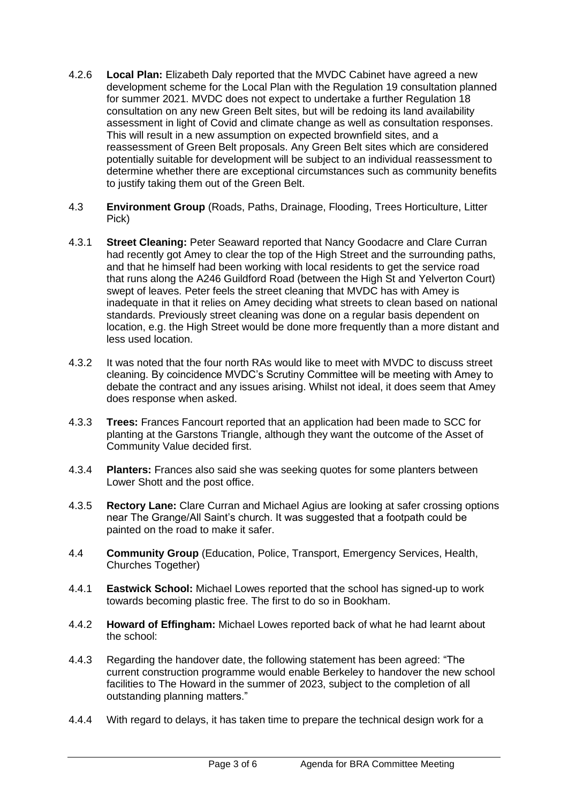- 4.2.6 **Local Plan:** Elizabeth Daly reported that the MVDC Cabinet have agreed a new development scheme for the Local Plan with the Regulation 19 consultation planned for summer 2021. MVDC does not expect to undertake a further Regulation 18 consultation on any new Green Belt sites, but will be redoing its land availability assessment in light of Covid and climate change as well as consultation responses. This will result in a new assumption on expected brownfield sites, and a reassessment of Green Belt proposals. Any Green Belt sites which are considered potentially suitable for development will be subject to an individual reassessment to determine whether there are exceptional circumstances such as community benefits to justify taking them out of the Green Belt.
- 4.3 **Environment Group** (Roads, Paths, Drainage, Flooding, Trees Horticulture, Litter Pick)
- 4.3.1 **Street Cleaning:** Peter Seaward reported that Nancy Goodacre and Clare Curran had recently got Amey to clear the top of the High Street and the surrounding paths, and that he himself had been working with local residents to get the service road that runs along the A246 Guildford Road (between the High St and Yelverton Court) swept of leaves. Peter feels the street cleaning that MVDC has with Amey is inadequate in that it relies on Amey deciding what streets to clean based on national standards. Previously street cleaning was done on a regular basis dependent on location, e.g. the High Street would be done more frequently than a more distant and less used location.
- 4.3.2 It was noted that the four north RAs would like to meet with MVDC to discuss street cleaning. By coincidence MVDC's Scrutiny Committee will be meeting with Amey to debate the contract and any issues arising. Whilst not ideal, it does seem that Amey does response when asked.
- 4.3.3 **Trees:** Frances Fancourt reported that an application had been made to SCC for planting at the Garstons Triangle, although they want the outcome of the Asset of Community Value decided first.
- 4.3.4 **Planters:** Frances also said she was seeking quotes for some planters between Lower Shott and the post office.
- 4.3.5 **Rectory Lane:** Clare Curran and Michael Agius are looking at safer crossing options near The Grange/All Saint's church. It was suggested that a footpath could be painted on the road to make it safer.
- 4.4 **Community Group** (Education, Police, Transport, Emergency Services, Health, Churches Together)
- 4.4.1 **Eastwick School:** Michael Lowes reported that the school has signed-up to work towards becoming plastic free. The first to do so in Bookham.
- 4.4.2 **Howard of Effingham:** Michael Lowes reported back of what he had learnt about the school:
- 4.4.3 Regarding the handover date, the following statement has been agreed: "The current construction programme would enable Berkeley to handover the new school facilities to The Howard in the summer of 2023, subject to the completion of all outstanding planning matters."
- 4.4.4 With regard to delays, it has taken time to prepare the technical design work for a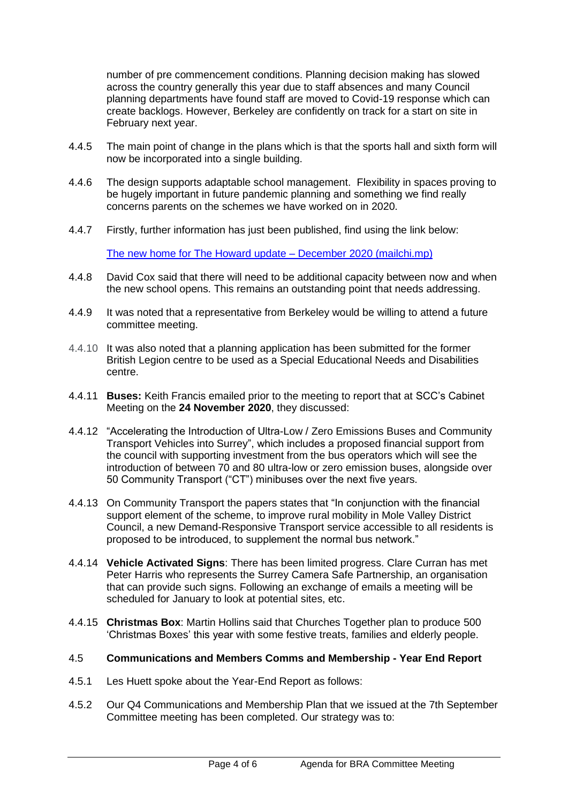number of pre commencement conditions. Planning decision making has slowed across the country generally this year due to staff absences and many Council planning departments have found staff are moved to Covid-19 response which can create backlogs. However, Berkeley are confidently on track for a start on site in February next year.

- 4.4.5 The main point of change in the plans which is that the sports hall and sixth form will now be incorporated into a single building.
- 4.4.6 The design supports adaptable school management. Flexibility in spaces proving to be hugely important in future pandemic planning and something we find really concerns parents on the schemes we have worked on in 2020.
- 4.4.7 Firstly, further information has just been published, find using the link below:

[The new home for The Howard update –](https://mailchi.mp/abab1783ea1c/the-new-home-for-the-howard-update-december-2020) December 2020 (mailchi.mp)

- 4.4.8 David Cox said that there will need to be additional capacity between now and when the new school opens. This remains an outstanding point that needs addressing.
- 4.4.9 It was noted that a representative from Berkeley would be willing to attend a future committee meeting.
- 4.4.10 It was also noted that a planning application has been submitted for the former British Legion centre to be used as a Special Educational Needs and Disabilities centre.
- 4.4.11 **Buses:** Keith Francis emailed prior to the meeting to report that at SCC's Cabinet Meeting on the **24 November 2020**, they discussed:
- 4.4.12 "Accelerating the Introduction of Ultra-Low / Zero Emissions Buses and Community Transport Vehicles into Surrey", which includes a proposed financial support from the council with supporting investment from the bus operators which will see the introduction of between 70 and 80 ultra-low or zero emission buses, alongside over 50 Community Transport ("CT") minibuses over the next five years.
- 4.4.13 On Community Transport the papers states that "In conjunction with the financial support element of the scheme, to improve rural mobility in Mole Valley District Council, a new Demand-Responsive Transport service accessible to all residents is proposed to be introduced, to supplement the normal bus network."
- 4.4.14 **Vehicle Activated Signs**: There has been limited progress. Clare Curran has met Peter Harris who represents the Surrey Camera Safe Partnership, an organisation that can provide such signs. Following an exchange of emails a meeting will be scheduled for January to look at potential sites, etc.
- 4.4.15 **Christmas Box**: Martin Hollins said that Churches Together plan to produce 500 'Christmas Boxes' this year with some festive treats, families and elderly people.

#### 4.5 **Communications and Members Comms and Membership - Year End Report**

- 4.5.1 Les Huett spoke about the Year-End Report as follows:
- 4.5.2 Our Q4 Communications and Membership Plan that we issued at the 7th September Committee meeting has been completed. Our strategy was to: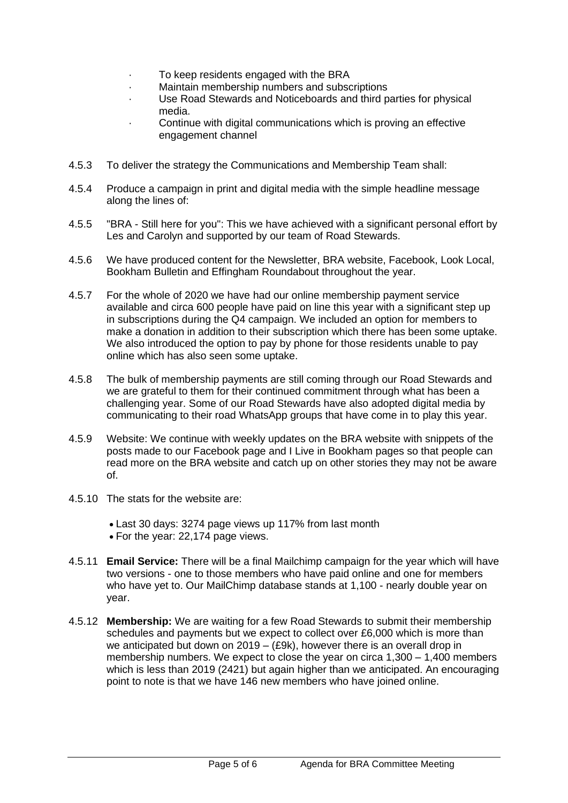- To keep residents engaged with the BRA
- · Maintain membership numbers and subscriptions
- Use Road Stewards and Noticeboards and third parties for physical media.
- Continue with digital communications which is proving an effective engagement channel
- 4.5.3 To deliver the strategy the Communications and Membership Team shall:
- 4.5.4 Produce a campaign in print and digital media with the simple headline message along the lines of:
- 4.5.5 "BRA Still here for you": This we have achieved with a significant personal effort by Les and Carolyn and supported by our team of Road Stewards.
- 4.5.6 We have produced content for the Newsletter, BRA website, Facebook, Look Local, Bookham Bulletin and Effingham Roundabout throughout the year.
- 4.5.7 For the whole of 2020 we have had our online membership payment service available and circa 600 people have paid on line this year with a significant step up in subscriptions during the Q4 campaign. We included an option for members to make a donation in addition to their subscription which there has been some uptake. We also introduced the option to pay by phone for those residents unable to pay online which has also seen some uptake.
- 4.5.8 The bulk of membership payments are still coming through our Road Stewards and we are grateful to them for their continued commitment through what has been a challenging year. Some of our Road Stewards have also adopted digital media by communicating to their road WhatsApp groups that have come in to play this year.
- 4.5.9 Website: We continue with weekly updates on the BRA website with snippets of the posts made to our Facebook page and I Live in Bookham pages so that people can read more on the BRA website and catch up on other stories they may not be aware of.
- 4.5.10 The stats for the website are:
	- Last 30 days: 3274 page views up 117% from last month
	- For the year: 22,174 page views.
- 4.5.11 **Email Service:** There will be a final Mailchimp campaign for the year which will have two versions - one to those members who have paid online and one for members who have yet to. Our MailChimp database stands at 1,100 - nearly double year on year.
- 4.5.12 **Membership:** We are waiting for a few Road Stewards to submit their membership schedules and payments but we expect to collect over £6,000 which is more than we anticipated but down on 2019 – (£9k), however there is an overall drop in membership numbers. We expect to close the year on circa 1,300 – 1,400 members which is less than 2019 (2421) but again higher than we anticipated. An encouraging point to note is that we have 146 new members who have joined online.